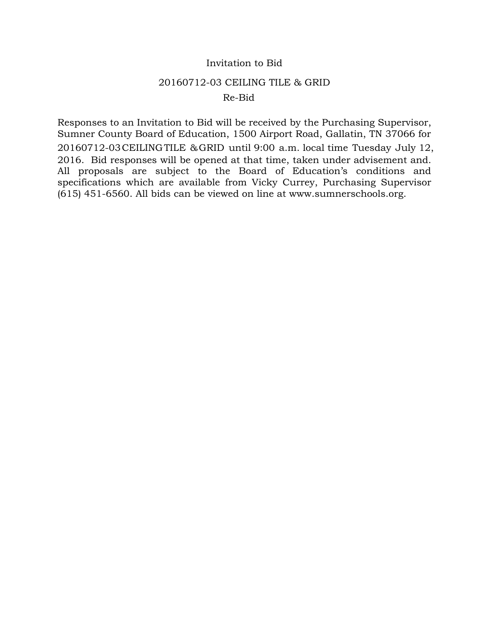## Invitation to Bid

### 20160712-03 CEILING TILE & GRID

## Re-Bid

Responses to an Invitation to Bid will be received by the Purchasing Supervisor, Sumner County Board of Education, 1500 Airport Road, Gallatin, TN 37066 for 20160712-03CEILINGTILE &GRID until 9:00 a.m. local time Tuesday July 12, 2016. Bid responses will be opened at that time, taken under advisement and. All proposals are subject to the Board of Education's conditions and specifications which are available from Vicky Currey, Purchasing Supervisor (615) 451-6560. All bids can be viewed on line at www.sumnerschools.org.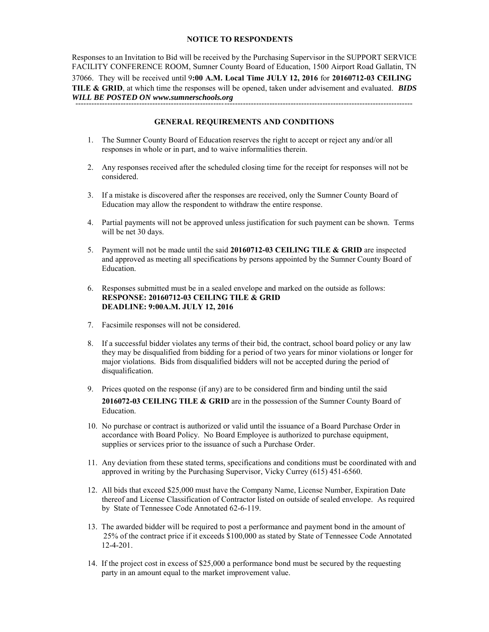#### **NOTICE TO RESPONDENTS**

Responses to an Invitation to Bid will be received by the Purchasing Supervisor in the SUPPORT SERVICE FACILITY CONFERENCE ROOM, Sumner County Board of Education, 1500 Airport Road Gallatin, TN 37066. They will be received until 9**:00 A.M. Local Time JULY 12, 2016** for **20160712-03 CEILING TILE & GRID**, at which time the responses will be opened, taken under advisement and evaluated. *BIDS WILL BE POSTED ON www.sumnerschools.org*  -------------------------------------------------------------------------------------------------------------------------------

#### **GENERAL REQUIREMENTS AND CONDITIONS**

- 1. The Sumner County Board of Education reserves the right to accept or reject any and/or all responses in whole or in part, and to waive informalities therein.
- 2. Any responses received after the scheduled closing time for the receipt for responses will not be considered.
- 3. If a mistake is discovered after the responses are received, only the Sumner County Board of Education may allow the respondent to withdraw the entire response.
- 4. Partial payments will not be approved unless justification for such payment can be shown. Terms will be net 30 days.
- 5. Payment will not be made until the said **20160712-03 CEILING TILE & GRID** are inspected and approved as meeting all specifications by persons appointed by the Sumner County Board of Education.
- 6. Responses submitted must be in a sealed envelope and marked on the outside as follows: **RESPONSE: 20160712-03 CEILING TILE & GRID DEADLINE: 9:00A.M. JULY 12, 2016**
- 7. Facsimile responses will not be considered.
- 8. If a successful bidder violates any terms of their bid, the contract, school board policy or any law they may be disqualified from bidding for a period of two years for minor violations or longer for major violations. Bids from disqualified bidders will not be accepted during the period of disqualification.
- 9. Prices quoted on the response (if any) are to be considered firm and binding until the said **2016072-03 CEILING TILE & GRID** are in the possession of the Sumner County Board of Education.
- 10. No purchase or contract is authorized or valid until the issuance of a Board Purchase Order in accordance with Board Policy. No Board Employee is authorized to purchase equipment, supplies or services prior to the issuance of such a Purchase Order.
- 11. Any deviation from these stated terms, specifications and conditions must be coordinated with and approved in writing by the Purchasing Supervisor, Vicky Currey (615) 451-6560.
- 12. All bids that exceed \$25,000 must have the Company Name, License Number, Expiration Date thereof and License Classification of Contractor listed on outside of sealed envelope. As required by State of Tennessee Code Annotated 62-6-119.
- 13. The awarded bidder will be required to post a performance and payment bond in the amount of 25% of the contract price if it exceeds \$100,000 as stated by State of Tennessee Code Annotated 12-4-201.
- 14. If the project cost in excess of \$25,000 a performance bond must be secured by the requesting party in an amount equal to the market improvement value.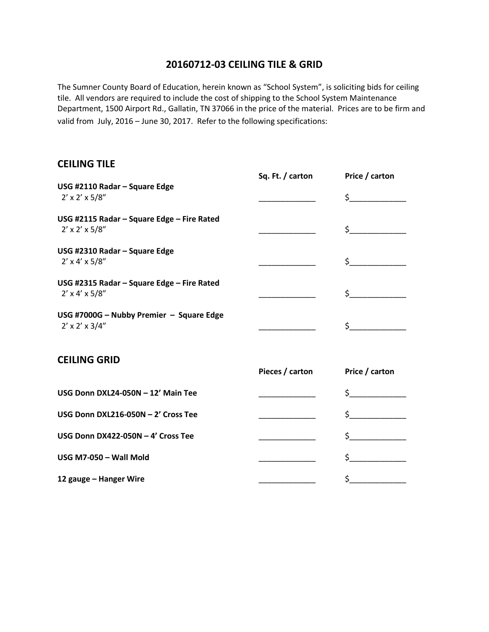## **20160712-03 CEILING TILE & GRID**

The Sumner County Board of Education, herein known as "School System", is soliciting bids for ceiling tile. All vendors are required to include the cost of shipping to the School System Maintenance Department, 1500 Airport Rd., Gallatin, TN 37066 in the price of the material. Prices are to be firm and valid from July, 2016 – June 30, 2017. Refer to the following specifications:

# **CEILING TILE**

|                                                                           | Sq. Ft. / carton | Price / carton |
|---------------------------------------------------------------------------|------------------|----------------|
| USG #2110 Radar - Square Edge<br>$2' \times 2' \times 5/8''$              |                  | $\zeta$        |
| USG #2115 Radar - Square Edge - Fire Rated<br>$2' \times 2' \times 5/8''$ |                  | $\zeta$        |
| USG #2310 Radar - Square Edge<br>$2' \times 4' \times 5/8''$              |                  | $\zeta$        |
| USG #2315 Radar - Square Edge - Fire Rated<br>$2' \times 4' \times 5/8''$ |                  | $\sharp$       |
| USG #7000G - Nubby Premier - Square Edge<br>$2' \times 2' \times 3/4''$   |                  | $\sharp$       |
| <b>CEILING GRID</b>                                                       | Pieces / carton  | Price / carton |
| USG Donn DXL24-050N - 12' Main Tee                                        |                  | $\sharp$       |
| USG Donn DXL216-050N - 2' Cross Tee                                       |                  | $\zeta$        |
| USG Donn DX422-050N - 4' Cross Tee                                        |                  |                |
| USG M7-050 - Wall Mold                                                    |                  | $\sharp$       |
| 12 gauge - Hanger Wire                                                    |                  | \$             |